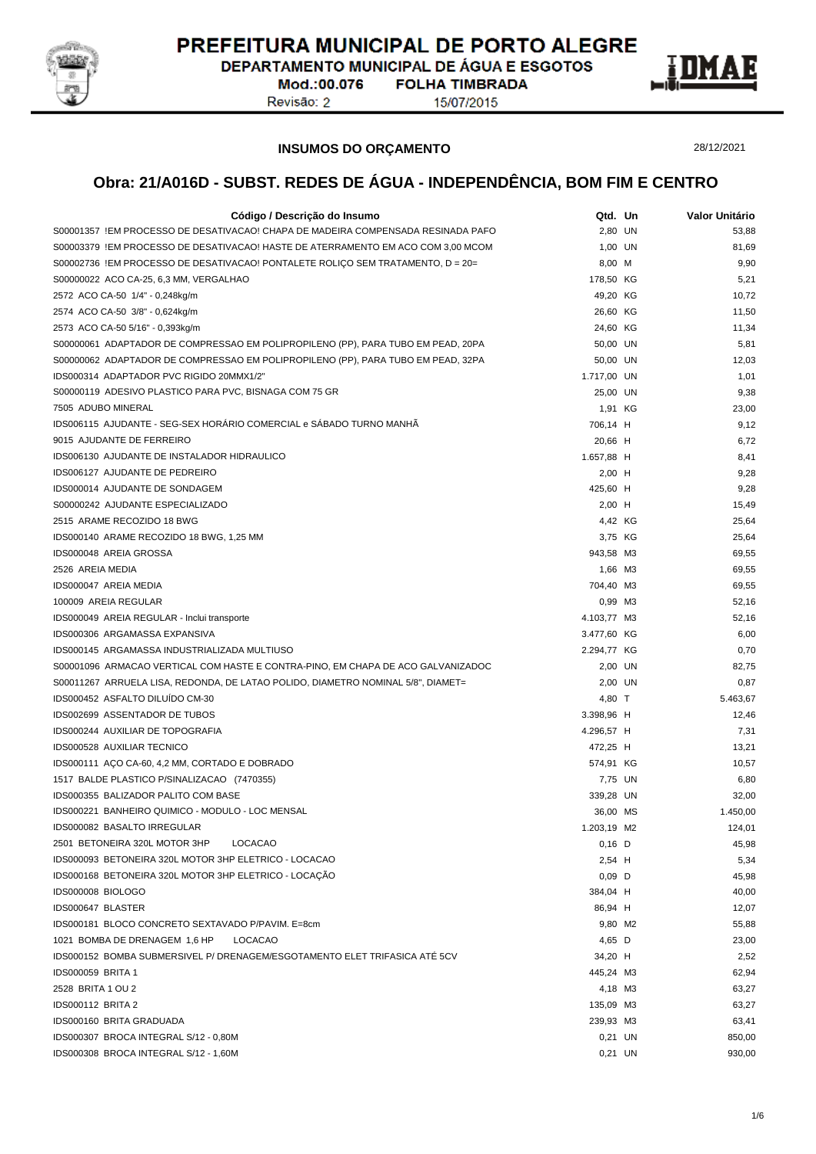

DEPARTAMENTO MUNICIPAL DE ÁGUA E ESGOTOS Mod.:00.076

Revisão: 2

**FOLHA TIMBRADA** 15/07/2015



28/12/2021

#### **INSUMOS DO ORÇAMENTO**

| Código / Descrição do Insumo                                                     | Qtd. Un     | Valor Unitário |
|----------------------------------------------------------------------------------|-------------|----------------|
| S00001357 !EM PROCESSO DE DESATIVACAO! CHAPA DE MADEIRA COMPENSADA RESINADA PAFO | 2,80 UN     | 53,88          |
| S00003379 !EM PROCESSO DE DESATIVACAO! HASTE DE ATERRAMENTO EM ACO COM 3,00 MCOM | 1,00 UN     | 81,69          |
| S00002736 !EM PROCESSO DE DESATIVACAO! PONTALETE ROLIÇO SEM TRATAMENTO, D = 20=  | 8,00 M      | 9,90           |
| S00000022 ACO CA-25, 6,3 MM, VERGALHAO                                           | 178,50 KG   | 5,21           |
| 2572 ACO CA-50 1/4" - 0,248kg/m                                                  | 49,20 KG    | 10,72          |
| 2574 ACO CA-50 3/8" - 0,624kg/m                                                  | 26,60 KG    | 11,50          |
| 2573 ACO CA-50 5/16" - 0,393kg/m                                                 | 24,60 KG    | 11,34          |
| S00000061 ADAPTADOR DE COMPRESSAO EM POLIPROPILENO (PP), PARA TUBO EM PEAD, 20PA | 50,00 UN    | 5,81           |
| S00000062 ADAPTADOR DE COMPRESSAO EM POLIPROPILENO (PP), PARA TUBO EM PEAD, 32PA | 50,00 UN    | 12,03          |
| IDS000314 ADAPTADOR PVC RIGIDO 20MMX1/2"                                         | 1.717,00 UN | 1,01           |
| S00000119 ADESIVO PLASTICO PARA PVC, BISNAGA COM 75 GR                           | 25,00 UN    | 9,38           |
| 7505 ADUBO MINERAL                                                               | 1,91 KG     | 23,00          |
| IDS006115 AJUDANTE - SEG-SEX HORÁRIO COMERCIAL e SÁBADO TURNO MANHÃ              | 706,14 H    | 9,12           |
| 9015 AJUDANTE DE FERREIRO                                                        | 20,66 H     | 6,72           |
| IDS006130 AJUDANTE DE INSTALADOR HIDRAULICO                                      | 1.657,88 H  | 8,41           |
| IDS006127 AJUDANTE DE PEDREIRO                                                   | $2,00$ H    | 9,28           |
| IDS000014 AJUDANTE DE SONDAGEM                                                   | 425,60 H    | 9,28           |
| S00000242 AJUDANTE ESPECIALIZADO                                                 | $2,00$ H    | 15,49          |
| 2515 ARAME RECOZIDO 18 BWG                                                       | 4,42 KG     | 25,64          |
| IDS000140 ARAME RECOZIDO 18 BWG, 1,25 MM                                         | 3,75 KG     | 25,64          |
| IDS000048 AREIA GROSSA                                                           | 943,58 M3   | 69,55          |
| 2526 AREIA MEDIA                                                                 | 1,66 M3     | 69,55          |
| IDS000047 AREIA MEDIA                                                            | 704,40 M3   | 69,55          |
| 100009 AREIA REGULAR                                                             | 0,99 M3     | 52,16          |
| IDS000049 AREIA REGULAR - Inclui transporte                                      | 4.103,77 M3 | 52,16          |
| IDS000306 ARGAMASSA EXPANSIVA                                                    | 3.477,60 KG | 6,00           |
| IDS000145 ARGAMASSA INDUSTRIALIZADA MULTIUSO                                     | 2.294,77 KG | 0,70           |
| S00001096 ARMACAO VERTICAL COM HASTE E CONTRA-PINO, EM CHAPA DE ACO GALVANIZADOC | 2,00 UN     | 82,75          |
| S00011267 ARRUELA LISA, REDONDA, DE LATAO POLIDO, DIAMETRO NOMINAL 5/8", DIAMET= | 2,00 UN     | 0,87           |
| IDS000452 ASFALTO DILUÍDO CM-30                                                  | 4,80 T      | 5.463,67       |
| <b>IDS002699 ASSENTADOR DE TUBOS</b>                                             | 3.398,96 H  | 12,46          |
| IDS000244 AUXILIAR DE TOPOGRAFIA                                                 | 4.296,57 H  | 7,31           |
| IDS000528 AUXILIAR TECNICO                                                       | 472,25 H    | 13,21          |
| IDS000111 AÇO CA-60, 4,2 MM, CORTADO E DOBRADO                                   | 574,91 KG   | 10,57          |
| 1517 BALDE PLASTICO P/SINALIZACAO (7470355)                                      | 7,75 UN     | 6,80           |
| IDS000355 BALIZADOR PALITO COM BASE                                              | 339,28 UN   | 32,00          |
| IDS000221 BANHEIRO QUIMICO - MODULO - LOC MENSAL                                 | 36,00 MS    | 1.450,00       |
| IDS000082 BASALTO IRREGULAR                                                      | 1.203,19 M2 | 124,01         |
| 2501 BETONEIRA 320L MOTOR 3HP<br>LOCACAO                                         | $0,16$ D    | 45,98          |
| IDS000093 BETONEIRA 320L MOTOR 3HP ELETRICO - LOCACAO                            | 2,54 H      | 5,34           |
| IDS000168 BETONEIRA 320L MOTOR 3HP ELETRICO - LOCAÇAO                            | $0,09$ D    | 45,98          |
| IDS000008 BIOLOGO                                                                | 384,04 H    | 40,00          |
| IDS000647 BLASTER                                                                | 86,94 H     | 12,07          |
| IDS000181 BLOCO CONCRETO SEXTAVADO P/PAVIM. E=8cm                                | 9,80 M2     | 55,88          |
| 1021 BOMBA DE DRENAGEM 1,6 HP<br><b>LOCACAO</b>                                  | 4,65 D      | 23,00          |
| IDS000152 BOMBA SUBMERSIVEL P/ DRENAGEM/ESGOTAMENTO ELET TRIFASICA ATE 5CV       | 34,20 H     | 2,52           |
| <b>IDS000059 BRITA 1</b>                                                         | 445,24 M3   | 62,94          |
| 2528 BRITA 1 OU 2                                                                | 4,18 M3     | 63,27          |
| <b>IDS000112 BRITA 2</b>                                                         | 135,09 M3   | 63,27          |
| IDS000160 BRITA GRADUADA                                                         | 239,93 M3   | 63,41          |
| IDS000307 BROCA INTEGRAL S/12 - 0,80M                                            | 0,21 UN     | 850,00         |
| IDS000308 BROCA INTEGRAL S/12 - 1,60M                                            | 0,21 UN     | 930,00         |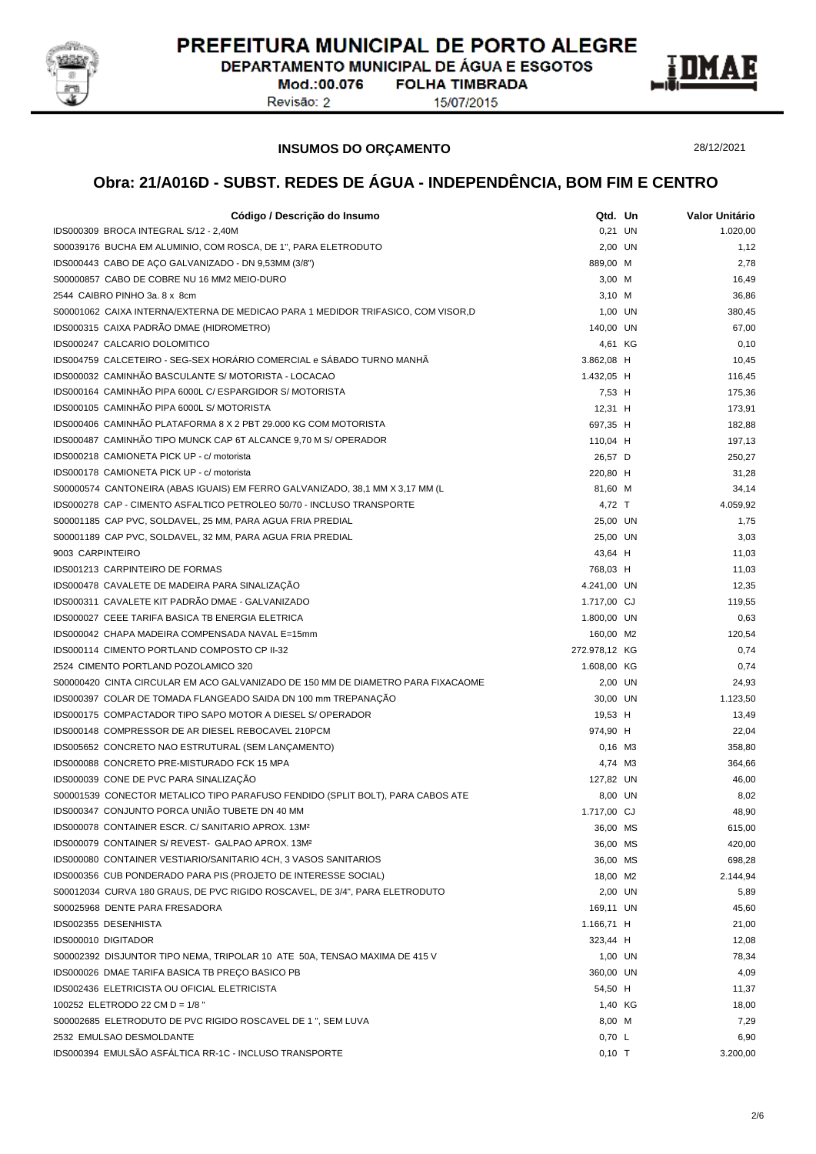

DEPARTAMENTO MUNICIPAL DE ÁGUA E ESGOTOS **FOLHA TIMBRADA** 

Mod.:00.076 Revisão: 2

15/07/2015



**INSUMOS DO ORÇAMENTO**

28/12/2021

| Código / Descrição do Insumo                                                     | Qtd. Un       | Valor Unitário |
|----------------------------------------------------------------------------------|---------------|----------------|
| IDS000309 BROCA INTEGRAL S/12 - 2,40M                                            | 0,21 UN       | 1.020.00       |
| S00039176 BUCHA EM ALUMINIO, COM ROSCA, DE 1", PARA ELETRODUTO                   | 2,00 UN       | 1,12           |
| IDS000443 CABO DE AÇO GALVANIZADO - DN 9,53MM (3/8")                             | 889,00 M      | 2,78           |
| S00000857 CABO DE COBRE NU 16 MM2 MEIO-DURO                                      | 3,00 M        | 16,49          |
| 2544 CAIBRO PINHO 3a. 8 x 8cm                                                    | $3,10$ M      | 36,86          |
| S00001062 CAIXA INTERNA/EXTERNA DE MEDICAO PARA 1 MEDIDOR TRIFASICO, COM VISOR,D | 1,00 UN       | 380,45         |
| IDS000315 CAIXA PADRÃO DMAE (HIDROMETRO)                                         | 140,00 UN     | 67,00          |
| IDS000247 CALCARIO DOLOMITICO                                                    | 4,61 KG       | 0,10           |
| IDS004759 CALCETEIRO - SEG-SEX HORÁRIO COMERCIAL e SÁBADO TURNO MANHÃ            | 3.862,08 H    | 10,45          |
| IDS000032 CAMINHÃO BASCULANTE S/ MOTORISTA - LOCACAO                             | 1.432,05 H    | 116,45         |
| IDS000164 CAMINHÃO PIPA 6000L C/ ESPARGIDOR S/ MOTORISTA                         | 7,53 H        | 175,36         |
| IDS000105 CAMINHÃO PIPA 6000L S/ MOTORISTA                                       | 12,31 H       | 173,91         |
| IDS000406 CAMINHÃO PLATAFORMA 8 X 2 PBT 29.000 KG COM MOTORISTA                  | 697,35 H      | 182,88         |
| IDS000487 CAMINHÃO TIPO MUNCK CAP 6T ALCANCE 9,70 M S/ OPERADOR                  | 110,04 H      | 197,13         |
| IDS000218 CAMIONETA PICK UP - c/ motorista                                       | 26,57 D       | 250,27         |
| IDS000178 CAMIONETA PICK UP - c/ motorista                                       | 220,80 H      | 31,28          |
| S00000574 CANTONEIRA (ABAS IGUAIS) EM FERRO GALVANIZADO, 38,1 MM X 3,17 MM (L    | 81,60 M       | 34,14          |
| IDS000278 CAP - CIMENTO ASFALTICO PETROLEO 50/70 - INCLUSO TRANSPORTE            | 4,72 T        | 4.059,92       |
| S00001185 CAP PVC, SOLDAVEL, 25 MM, PARA AGUA FRIA PREDIAL                       | 25,00 UN      | 1,75           |
| S00001189 CAP PVC, SOLDAVEL, 32 MM, PARA AGUA FRIA PREDIAL                       | 25,00 UN      | 3,03           |
| 9003 CARPINTEIRO                                                                 | 43,64 H       | 11,03          |
| <b>IDS001213 CARPINTEIRO DE FORMAS</b>                                           | 768,03 H      | 11,03          |
| IDS000478 CAVALETE DE MADEIRA PARA SINALIZAÇÃO                                   | 4.241,00 UN   | 12,35          |
| IDS000311 CAVALETE KIT PADRÃO DMAE - GALVANIZADO                                 | 1.717,00 CJ   | 119,55         |
| <b>IDS000027 CEEE TARIFA BASICA TB ENERGIA ELETRICA</b>                          | 1.800,00 UN   | 0,63           |
| IDS000042 CHAPA MADEIRA COMPENSADA NAVAL E=15mm                                  | 160,00 M2     | 120,54         |
| IDS000114 CIMENTO PORTLAND COMPOSTO CP II-32                                     | 272.978,12 KG | 0,74           |
| 2524 CIMENTO PORTLAND POZOLAMICO 320                                             | 1.608,00 KG   | 0,74           |
| S00000420 CINTA CIRCULAR EM ACO GALVANIZADO DE 150 MM DE DIAMETRO PARA FIXACAOME | 2,00 UN       | 24,93          |
| IDS000397 COLAR DE TOMADA FLANGEADO SAIDA DN 100 mm TREPANAÇÃO                   | 30,00 UN      | 1.123,50       |
| IDS000175 COMPACTADOR TIPO SAPO MOTOR A DIESEL S/ OPERADOR                       | 19,53 H       | 13,49          |
| IDS000148 COMPRESSOR DE AR DIESEL REBOCAVEL 210PCM                               | 974,90 H      | 22,04          |
| IDS005652 CONCRETO NAO ESTRUTURAL (SEM LANÇAMENTO)                               | $0,16$ M3     | 358,80         |
| IDS000088 CONCRETO PRE-MISTURADO FCK 15 MPA                                      | 4,74 M3       | 364,66         |
| IDS000039 CONE DE PVC PARA SINALIZAÇÃO                                           | 127,82 UN     | 46,00          |
| S00001539 CONECTOR METALICO TIPO PARAFUSO FENDIDO (SPLIT BOLT), PARA CABOS ATE   | 8,00 UN       | 8,02           |
| IDS000347 CONJUNTO PORCA UNIÃO TUBETE DN 40 MM                                   | 1.717,00 CJ   | 48,90          |
| IDS000078 CONTAINER ESCR. C/ SANITARIO APROX. 13M <sup>2</sup>                   | 36,00 MS      | 615,00         |
| IDS000079 CONTAINER S/ REVEST- GALPAO APROX. 13M <sup>2</sup>                    | 36,00 MS      | 420,00         |
| IDS000080 CONTAINER VESTIARIO/SANITARIO 4CH, 3 VASOS SANITARIOS                  | 36,00 MS      | 698,28         |
| IDS000356 CUB PONDERADO PARA PIS (PROJETO DE INTERESSE SOCIAL)                   | 18,00 M2      | 2.144,94       |
| S00012034 CURVA 180 GRAUS, DE PVC RIGIDO ROSCAVEL, DE 3/4", PARA ELETRODUTO      | 2,00 UN       | 5,89           |
| S00025968 DENTE PARA FRESADORA                                                   | 169,11 UN     | 45,60          |
| IDS002355 DESENHISTA                                                             | 1.166,71 H    | 21,00          |
| IDS000010 DIGITADOR                                                              | 323,44 H      | 12,08          |
| S00002392 DISJUNTOR TIPO NEMA, TRIPOLAR 10 ATE 50A, TENSAO MAXIMA DE 415 V       | 1,00 UN       | 78,34          |
| IDS000026 DMAE TARIFA BASICA TB PREÇO BASICO PB                                  | 360,00 UN     | 4,09           |
| IDS002436 ELETRICISTA OU OFICIAL ELETRICISTA                                     | 54,50 H       | 11,37          |
| 100252 ELETRODO 22 CM D = 1/8 "                                                  | 1,40 KG       | 18,00          |
| S00002685 ELETRODUTO DE PVC RIGIDO ROSCAVEL DE 1 ", SEM LUVA                     | 8,00 M        | 7,29           |
| 2532 EMULSAO DESMOLDANTE                                                         | 0,70 L        | 6,90           |
| IDS000394 EMULSÃO ASFÁLTICA RR-1C - INCLUSO TRANSPORTE                           | $0,10$ T      | 3.200,00       |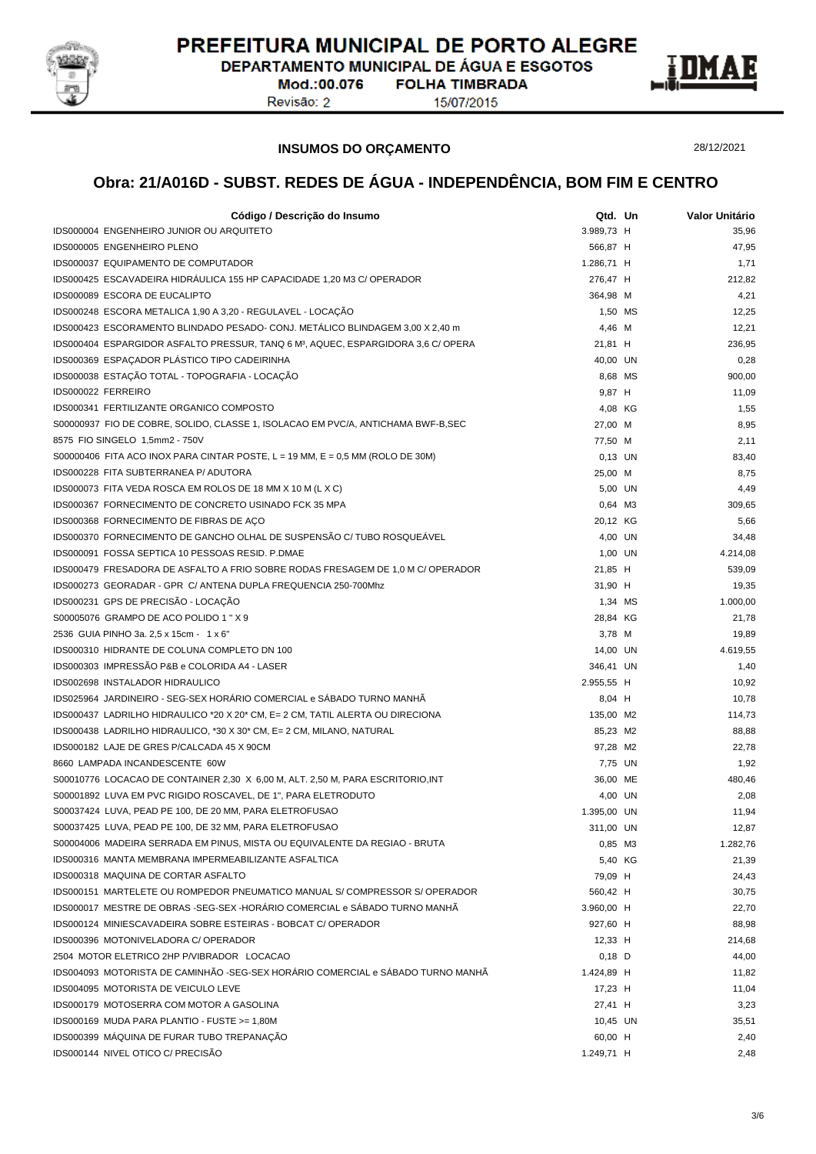

DEPARTAMENTO MUNICIPAL DE ÁGUA E ESGOTOS **FOLHA TIMBRADA** 

Mod.:00.076 Revisão: 2

15/07/2015



**INSUMOS DO ORÇAMENTO**

28/12/2021

| Código / Descrição do Insumo                                                                  | Qtd. Un     | Valor Unitário |
|-----------------------------------------------------------------------------------------------|-------------|----------------|
| IDS000004 ENGENHEIRO JUNIOR OU ARQUITETO                                                      | 3.989,73 H  | 35,96          |
| IDS000005 ENGENHEIRO PLENO                                                                    | 566,87 H    | 47,95          |
| IDS000037 EQUIPAMENTO DE COMPUTADOR                                                           | 1.286,71 H  | 1,71           |
| IDS000425 ESCAVADEIRA HIDRÁULICA 155 HP CAPACIDADE 1,20 M3 C/ OPERADOR                        | 276,47 H    | 212,82         |
| IDS000089 ESCORA DE EUCALIPTO                                                                 | 364,98 M    | 4,21           |
| IDS000248 ESCORA METALICA 1,90 A 3,20 - REGULAVEL - LOCAÇÃO                                   | 1,50 MS     | 12,25          |
| IDS000423 ESCORAMENTO BLINDADO PESADO- CONJ. METÁLICO BLINDAGEM 3,00 X 2,40 m                 | 4,46 M      | 12,21          |
| IDS000404 ESPARGIDOR ASFALTO PRESSUR, TANQ 6 M <sup>3</sup> , AQUEC, ESPARGIDORA 3,6 C/ OPERA | 21,81 H     | 236,95         |
| IDS000369 ESPAÇADOR PLÁSTICO TIPO CADEIRINHA                                                  | 40,00 UN    | 0,28           |
| IDS000038 ESTAÇÃO TOTAL - TOPOGRAFIA - LOCAÇÃO                                                | 8,68 MS     | 900,00         |
| IDS000022 FERREIRO                                                                            | 9,87 H      | 11,09          |
| IDS000341 FERTILIZANTE ORGANICO COMPOSTO                                                      | 4,08 KG     | 1,55           |
| S00000937 FIO DE COBRE, SOLIDO, CLASSE 1, ISOLACAO EM PVC/A, ANTICHAMA BWF-B, SEC             | 27,00 M     | 8,95           |
| 8575 FIO SINGELO 1,5mm2 - 750V                                                                | 77,50 M     | 2,11           |
| S00000406 FITA ACO INOX PARA CINTAR POSTE, $L = 19$ MM, $E = 0.5$ MM (ROLO DE 30M)            | $0,13$ UN   | 83,40          |
| IDS000228 FITA SUBTERRANEA P/ ADUTORA                                                         | 25,00 M     | 8,75           |
| IDS000073 FITA VEDA ROSCA EM ROLOS DE 18 MM X 10 M (L X C)                                    | 5,00 UN     | 4,49           |
| IDS000367 FORNECIMENTO DE CONCRETO USINADO FCK 35 MPA                                         | 0,64 M3     | 309,65         |
| IDS000368 FORNECIMENTO DE FIBRAS DE AÇO                                                       | 20,12 KG    | 5,66           |
| IDS000370 FORNECIMENTO DE GANCHO OLHAL DE SUSPENSÃO C/ TUBO ROSQUEÁVEL                        | 4,00 UN     | 34,48          |
| IDS000091 FOSSA SEPTICA 10 PESSOAS RESID. P.DMAE                                              | 1,00 UN     | 4.214,08       |
| IDS000479 FRESADORA DE ASFALTO A FRIO SOBRE RODAS FRESAGEM DE 1,0 M C/ OPERADOR               | 21,85 H     | 539,09         |
| IDS000273 GEORADAR - GPR C/ ANTENA DUPLA FREQUENCIA 250-700Mhz                                | 31,90 H     | 19,35          |
| IDS000231 GPS DE PRECISÃO - LOCAÇÃO                                                           | 1,34 MS     | 1.000,00       |
| S00005076 GRAMPO DE ACO POLIDO 1 " X 9                                                        | 28,84 KG    | 21,78          |
| 2536 GUIA PINHO 3a. 2,5 x 15cm - 1 x 6"                                                       | 3,78 M      | 19,89          |
| IDS000310 HIDRANTE DE COLUNA COMPLETO DN 100                                                  | 14,00 UN    | 4.619,55       |
| IDS000303 IMPRESSÃO P&B e COLORIDA A4 - LASER                                                 | 346,41 UN   | 1,40           |
| IDS002698 INSTALADOR HIDRAULICO                                                               | 2.955,55 H  | 10,92          |
| IDS025964 JARDINEIRO - SEG-SEX HORÁRIO COMERCIAL e SÁBADO TURNO MANHÃ                         | 8,04 H      | 10,78          |
| IDS000437 LADRILHO HIDRAULICO *20 X 20* CM, E= 2 CM, TATIL ALERTA OU DIRECIONA                | 135,00 M2   | 114,73         |
| IDS000438 LADRILHO HIDRAULICO, *30 X 30* CM, E= 2 CM, MILANO, NATURAL                         | 85,23 M2    | 88,88          |
| IDS000182 LAJE DE GRES P/CALCADA 45 X 90CM                                                    | 97,28 M2    | 22,78          |
| 8660 LAMPADA INCANDESCENTE 60W                                                                | 7,75 UN     | 1,92           |
| S00010776 LOCACAO DE CONTAINER 2,30 X 6,00 M, ALT. 2,50 M, PARA ESCRITORIO, INT               | 36,00 ME    | 480,46         |
| S00001892 LUVA EM PVC RIGIDO ROSCAVEL, DE 1", PARA ELETRODUTO                                 | 4,00 UN     | 2,08           |
| S00037424 LUVA, PEAD PE 100, DE 20 MM, PARA ELETROFUSAO                                       | 1.395,00 UN | 11,94          |
| S00037425 LUVA, PEAD PE 100, DE 32 MM, PARA ELETROFUSAO                                       | 311,00 UN   | 12,87          |
| S00004006 MADEIRA SERRADA EM PINUS, MISTA OU EQUIVALENTE DA REGIAO - BRUTA                    | 0,85 M3     | 1.282,76       |
| IDS000316 MANTA MEMBRANA IMPERMEABILIZANTE ASFALTICA                                          | 5,40 KG     | 21,39          |
| IDS000318 MAQUINA DE CORTAR ASFALTO                                                           | 79,09 H     | 24,43          |
| IDS000151 MARTELETE OU ROMPEDOR PNEUMATICO MANUAL S/ COMPRESSOR S/ OPERADOR                   | 560,42 H    | 30,75          |
| IDS000017 MESTRE DE OBRAS -SEG-SEX -HORÁRIO COMERCIAL e SÁBADO TURNO MANHÃ                    | 3.960,00 H  | 22,70          |
| IDS000124 MINIESCAVADEIRA SOBRE ESTEIRAS - BOBCAT C/ OPERADOR                                 | 927,60 H    | 88,98          |
| IDS000396 MOTONIVELADORA C/ OPERADOR                                                          | 12,33 H     | 214,68         |
| 2504 MOTOR ELETRICO 2HP P/VIBRADOR LOCACAO                                                    | $0,18$ D    | 44,00          |
| IDS004093 MOTORISTA DE CAMINHÃO -SEG-SEX HORÁRIO COMERCIAL e SÁBADO TURNO MANHÃ               | 1.424,89 H  | 11,82          |
| IDS004095 MOTORISTA DE VEICULO LEVE                                                           | 17,23 H     | 11,04          |
| IDS000179 MOTOSERRA COM MOTOR A GASOLINA                                                      | 27,41 H     | 3,23           |
| IDS000169 MUDA PARA PLANTIO - FUSTE >= 1,80M                                                  | 10,45 UN    | 35,51          |
| IDS000399 MÁQUINA DE FURAR TUBO TREPANAÇÃO                                                    | 60,00 H     | 2,40           |
| IDS000144 NIVEL OTICO C/ PRECISÃO                                                             | 1.249,71 H  | 2,48           |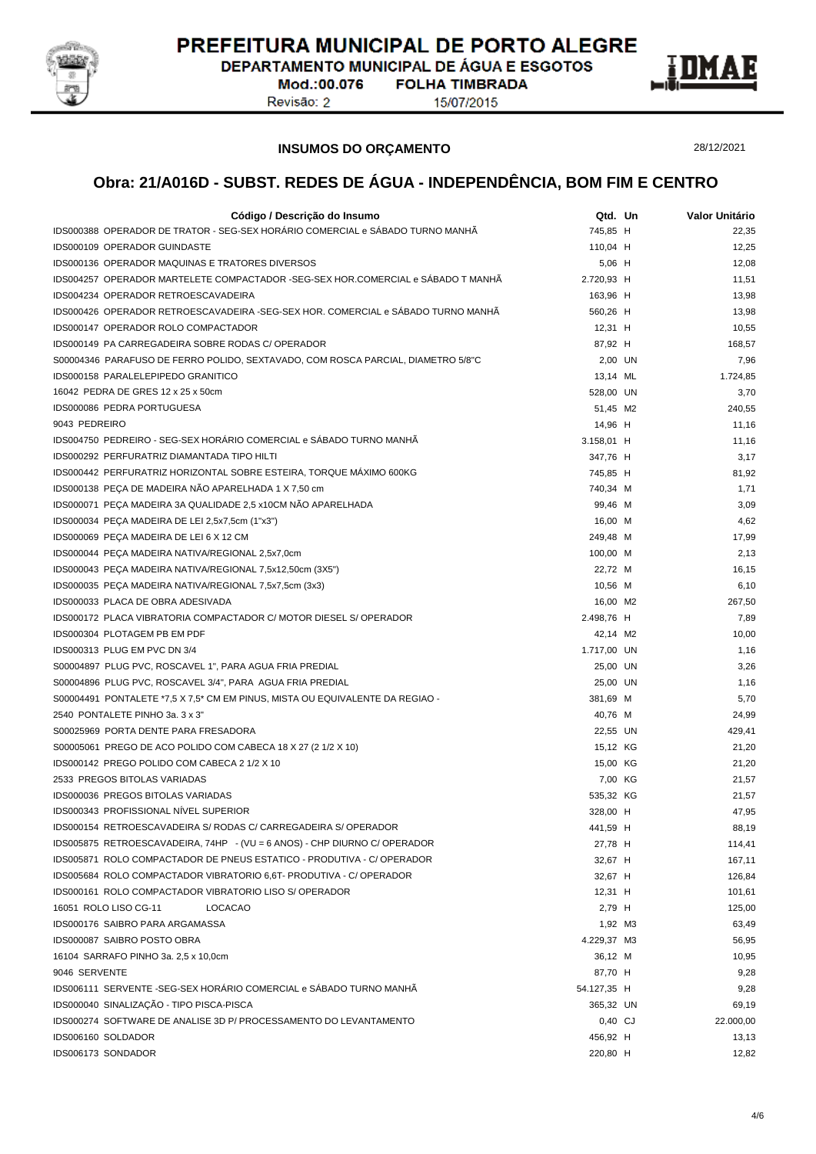

DEPARTAMENTO MUNICIPAL DE ÁGUA E ESGOTOS **FOLHA TIMBRADA** 

Mod.:00.076 Revisão: 2

15/07/2015



**INSUMOS DO ORÇAMENTO**

28/12/2021

| Código / Descrição do Insumo                                                     | Qtd. Un     | Valor Unitário |
|----------------------------------------------------------------------------------|-------------|----------------|
| IDS000388 OPERADOR DE TRATOR - SEG-SEX HORÁRIO COMERCIAL e SÁBADO TURNO MANHÃ    | 745,85 H    | 22,35          |
| IDS000109 OPERADOR GUINDASTE                                                     | 110,04 H    | 12,25          |
| <b>IDS000136 OPERADOR MAQUINAS E TRATORES DIVERSOS</b>                           | 5,06 H      | 12,08          |
| IDS004257 OPERADOR MARTELETE COMPACTADOR -SEG-SEX HOR.COMERCIAL e SÁBADO T MANHÃ | 2.720,93 H  | 11,51          |
| IDS004234 OPERADOR RETROESCAVADEIRA                                              | 163,96 H    | 13,98          |
| IDS000426 OPERADOR RETROESCAVADEIRA -SEG-SEX HOR. COMERCIAL e SÁBADO TURNO MANHÃ | 560,26 H    | 13,98          |
| IDS000147 OPERADOR ROLO COMPACTADOR                                              | $12,31$ H   | 10,55          |
| IDS000149 PA CARREGADEIRA SOBRE RODAS C/ OPERADOR                                | 87,92 H     | 168,57         |
| S00004346 PARAFUSO DE FERRO POLIDO, SEXTAVADO, COM ROSCA PARCIAL, DIAMETRO 5/8"C | 2,00 UN     | 7,96           |
| IDS000158 PARALELEPIPEDO GRANITICO                                               | 13,14 ML    | 1.724,85       |
| 16042 PEDRA DE GRES 12 x 25 x 50cm                                               | 528.00 UN   | 3,70           |
| IDS000086 PEDRA PORTUGUESA                                                       | 51,45 M2    | 240,55         |
| 9043 PEDREIRO                                                                    | 14,96 H     | 11,16          |
| IDS004750 PEDREIRO - SEG-SEX HORÁRIO COMERCIAL e SÁBADO TURNO MANHÃ              | 3.158,01 H  | 11,16          |
| IDS000292 PERFURATRIZ DIAMANTADA TIPO HILTI                                      | 347,76 H    | 3,17           |
| IDS000442 PERFURATRIZ HORIZONTAL SOBRE ESTEIRA, TORQUE MÁXIMO 600KG              | 745,85 H    | 81,92          |
| IDS000138 PEÇA DE MADEIRA NÃO APARELHADA 1 X 7,50 cm                             | 740,34 M    | 1,71           |
| IDS000071 PEÇA MADEIRA 3A QUALIDADE 2,5 x10CM NÃO APARELHADA                     | 99,46 M     | 3,09           |
| IDS000034 PEÇA MADEIRA DE LEI 2,5x7,5cm (1"x3")                                  | 16,00 M     | 4,62           |
| IDS000069 PEÇA MADEIRA DE LEI 6 X 12 CM                                          | 249,48 M    | 17,99          |
| IDS000044 PEÇA MADEIRA NATIVA/REGIONAL 2,5x7,0cm                                 | 100,00 M    | 2,13           |
| IDS000043 PEÇA MADEIRA NATIVA/REGIONAL 7,5x12,50cm (3X5")                        | 22,72 M     | 16,15          |
| IDS000035 PEÇA MADEIRA NATIVA/REGIONAL 7,5x7,5cm (3x3)                           | 10,56 M     | 6,10           |
| IDS000033 PLACA DE OBRA ADESIVADA                                                | 16,00 M2    | 267,50         |
| IDS000172 PLACA VIBRATORIA COMPACTADOR C/ MOTOR DIESEL S/ OPERADOR               | 2.498,76 H  | 7,89           |
| IDS000304 PLOTAGEM PB EM PDF                                                     | 42,14 M2    | 10,00          |
| IDS000313 PLUG EM PVC DN 3/4                                                     | 1.717,00 UN | 1,16           |
| S00004897 PLUG PVC, ROSCAVEL 1", PARA AGUA FRIA PREDIAL                          | 25,00 UN    | 3,26           |
| S00004896 PLUG PVC, ROSCAVEL 3/4", PARA AGUA FRIA PREDIAL                        | 25,00 UN    | 1,16           |
| S00004491 PONTALETE *7,5 X 7,5 * CM EM PINUS, MISTA OU EQUIVALENTE DA REGIAO -   | 381,69 M    | 5,70           |
| 2540 PONTALETE PINHO 3a. 3 x 3"                                                  | 40,76 M     | 24,99          |
| S00025969 PORTA DENTE PARA FRESADORA                                             | 22,55 UN    | 429,41         |
| S00005061 PREGO DE ACO POLIDO COM CABECA 18 X 27 (2 1/2 X 10)                    | 15,12 KG    | 21,20          |
| IDS000142 PREGO POLIDO COM CABECA 2 1/2 X 10                                     | 15,00 KG    | 21,20          |
| 2533 PREGOS BITOLAS VARIADAS                                                     | 7,00 KG     | 21,57          |
| IDS000036 PREGOS BITOLAS VARIADAS                                                | 535,32 KG   | 21,57          |
| IDS000343 PROFISSIONAL NIVEL SUPERIOR                                            | 328,00 H    | 47,95          |
| IDS000154 RETROESCAVADEIRA S/ RODAS C/ CARREGADEIRA S/ OPERADOR                  | 441,59 H    | 88,19          |
| IDS005875 RETROESCAVADEIRA, 74HP - (VU = 6 ANOS) - CHP DIURNO C/ OPERADOR        | 27,78 H     | 114,41         |
| IDS005871 ROLO COMPACTADOR DE PNEUS ESTATICO - PRODUTIVA - C/ OPERADOR           | 32,67 H     | 167,11         |
| IDS005684 ROLO COMPACTADOR VIBRATORIO 6,6T- PRODUTIVA - C/ OPERADOR              | 32,67 H     | 126,84         |
| IDS000161 ROLO COMPACTADOR VIBRATORIO LISO S/ OPERADOR                           | $12,31$ H   | 101,61         |
| 16051 ROLO LISO CG-11<br><b>LOCACAO</b>                                          | 2,79 H      | 125,00         |
| IDS000176 SAIBRO PARA ARGAMASSA                                                  | 1,92 M3     | 63,49          |
| IDS000087 SAIBRO POSTO OBRA                                                      | 4.229,37 M3 | 56,95          |
| 16104 SARRAFO PINHO 3a. 2,5 x 10,0cm                                             | 36,12 M     | 10,95          |
| 9046 SERVENTE                                                                    | 87,70 H     | 9,28           |
| IDS006111 SERVENTE -SEG-SEX HORÁRIO COMERCIAL e SÁBADO TURNO MANHÃ               | 54.127,35 H | 9,28           |
| IDS000040 SINALIZAÇÃO - TIPO PISCA-PISCA                                         | 365,32 UN   | 69,19          |
| IDS000274 SOFTWARE DE ANALISE 3D P/ PROCESSAMENTO DO LEVANTAMENTO                | 0,40 CJ     | 22.000,00      |
| IDS006160 SOLDADOR                                                               | 456,92 H    | 13,13          |
| IDS006173 SONDADOR                                                               | 220,80 H    | 12,82          |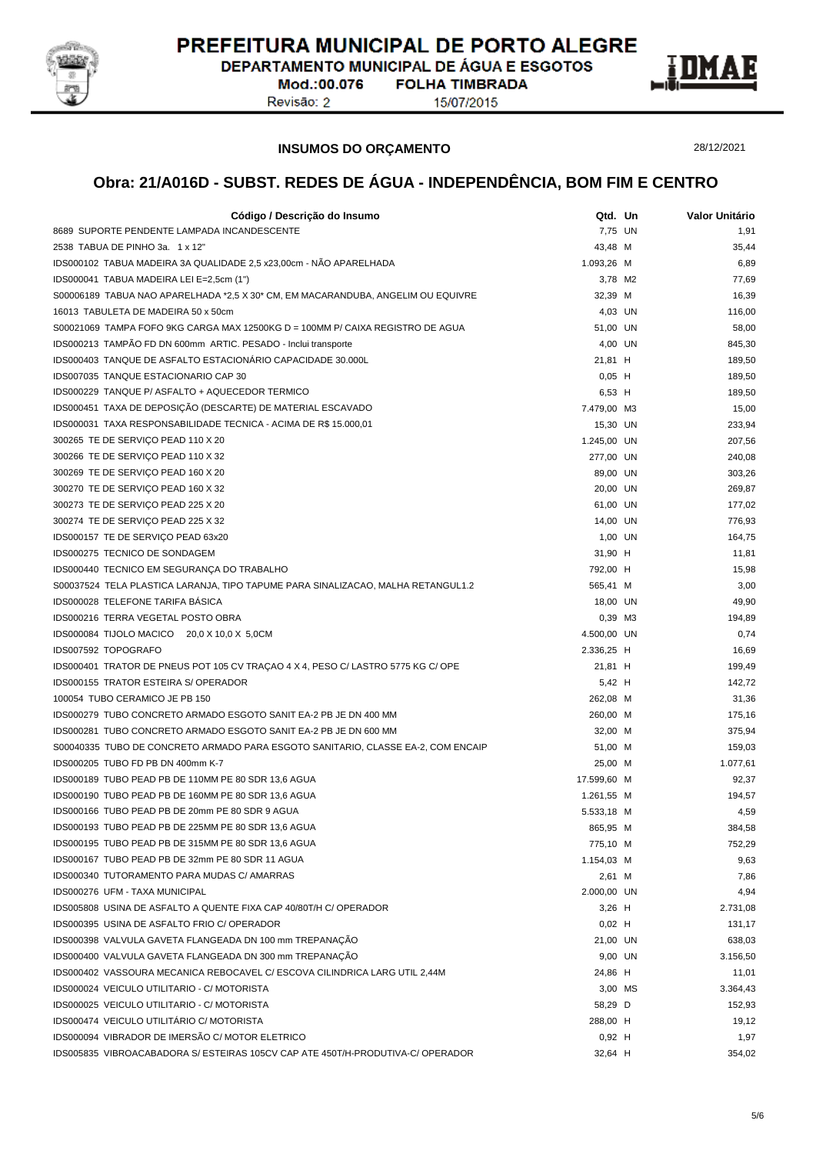

DEPARTAMENTO MUNICIPAL DE ÁGUA E ESGOTOS **FOLHA TIMBRADA** 

Mod.:00.076 Revisão: 2

15/07/2015



**INSUMOS DO ORÇAMENTO**

28/12/2021

| Código / Descrição do Insumo                                                     | Qtd. Un     | Valor Unitário |
|----------------------------------------------------------------------------------|-------------|----------------|
| 8689 SUPORTE PENDENTE LAMPADA INCANDESCENTE                                      | 7,75 UN     | 1,91           |
| 2538 TABUA DE PINHO 3a. 1 x 12"                                                  | 43,48 M     | 35,44          |
| IDS000102 TABUA MADEIRA 3A QUALIDADE 2,5 x23,00cm - NÃO APARELHADA               | 1.093,26 M  | 6,89           |
| IDS000041 TABUA MADEIRA LEI E=2,5cm (1")                                         | 3,78 M2     | 77,69          |
| S00006189 TABUA NAO APARELHADA *2,5 X 30* CM, EM MACARANDUBA, ANGELIM OU EQUIVRE | 32,39 M     | 16,39          |
| 16013 TABULETA DE MADEIRA 50 x 50cm                                              | 4,03 UN     | 116,00         |
| S00021069 TAMPA FOFO 9KG CARGA MAX 12500KG D = 100MM P/ CAIXA REGISTRO DE AGUA   | 51,00 UN    | 58,00          |
| IDS000213 TAMPÃO FD DN 600mm ARTIC. PESADO - Inclui transporte                   | 4,00 UN     | 845,30         |
| IDS000403 TANQUE DE ASFALTO ESTACIONÁRIO CAPACIDADE 30.000L                      | 21,81 H     | 189,50         |
| IDS007035 TANQUE ESTACIONARIO CAP 30                                             | $0,05$ H    | 189,50         |
| IDS000229 TANQUE P/ ASFALTO + AQUECEDOR TERMICO                                  | 6,53 H      | 189,50         |
| IDS000451 TAXA DE DEPOSIÇÃO (DESCARTE) DE MATERIAL ESCAVADO                      | 7.479,00 M3 | 15,00          |
| IDS000031 TAXA RESPONSABILIDADE TECNICA - ACIMA DE R\$ 15.000,01                 | 15,30 UN    | 233,94         |
| 300265 TE DE SERVIÇO PEAD 110 X 20                                               | 1.245,00 UN | 207,56         |
| 300266 TE DE SERVIÇO PEAD 110 X 32                                               | 277,00 UN   | 240,08         |
| 300269 TE DE SERVIÇO PEAD 160 X 20                                               | 89,00 UN    | 303,26         |
| 300270 TE DE SERVIÇO PEAD 160 X 32                                               | 20,00 UN    | 269,87         |
| 300273 TE DE SERVIÇO PEAD 225 X 20                                               | 61,00 UN    | 177,02         |
| 300274 TE DE SERVIÇO PEAD 225 X 32                                               | 14,00 UN    | 776,93         |
| IDS000157 TE DE SERVIÇO PEAD 63x20                                               | 1,00 UN     | 164,75         |
| IDS000275 TECNICO DE SONDAGEM                                                    | 31,90 H     | 11,81          |
| IDS000440 TECNICO EM SEGURANÇA DO TRABALHO                                       | 792,00 H    | 15,98          |
| S00037524 TELA PLASTICA LARANJA, TIPO TAPUME PARA SINALIZACAO, MALHA RETANGUL1.2 | 565,41 M    | 3,00           |
| IDS000028 TELEFONE TARIFA BASICA                                                 | 18,00 UN    | 49,90          |
| IDS000216 TERRA VEGETAL POSTO OBRA                                               | 0,39 M3     | 194,89         |
| IDS000084 TIJOLO MACICO 20,0 X 10,0 X 5,0CM                                      | 4.500,00 UN | 0,74           |
| IDS007592 TOPOGRAFO                                                              | 2.336,25 H  | 16,69          |
| IDS000401 TRATOR DE PNEUS POT 105 CV TRAÇÃO 4 X 4, PESO C/LASTRO 5775 KG C/OPE   | 21,81 H     | 199,49         |
| IDS000155 TRATOR ESTEIRA S/ OPERADOR                                             | 5,42 H      | 142,72         |
| 100054 TUBO CERAMICO JE PB 150                                                   | 262,08 M    | 31,36          |
| IDS000279 TUBO CONCRETO ARMADO ESGOTO SANIT EA-2 PB JE DN 400 MM                 | 260,00 M    | 175,16         |
| IDS000281 TUBO CONCRETO ARMADO ESGOTO SANIT EA-2 PB JE DN 600 MM                 | 32,00 M     | 375,94         |
| S00040335 TUBO DE CONCRETO ARMADO PARA ESGOTO SANITARIO, CLASSE EA-2, COM ENCAIP | 51,00 M     | 159,03         |
| IDS000205 TUBO FD PB DN 400mm K-7                                                | 25,00 M     | 1.077,61       |
| IDS000189 TUBO PEAD PB DE 110MM PE 80 SDR 13,6 AGUA                              | 17.599,60 M | 92,37          |
| IDS000190 TUBO PEAD PB DE 160MM PE 80 SDR 13,6 AGUA                              | 1.261,55 M  | 194,57         |
| IDS000166 TUBO PEAD PB DE 20mm PE 80 SDR 9 AGUA                                  | 5.533,18 M  | 4,59           |
| IDS000193 TUBO PEAD PB DE 225MM PE 80 SDR 13,6 AGUA                              | 865,95 M    | 384,58         |
| IDS000195 TUBO PEAD PB DE 315MM PE 80 SDR 13,6 AGUA                              | 775,10 M    | 752,29         |
| IDS000167 TUBO PEAD PB DE 32mm PE 80 SDR 11 AGUA                                 | 1.154,03 M  | 9,63           |
| IDS000340 TUTORAMENTO PARA MUDAS C/ AMARRAS                                      | 2,61 M      | 7,86           |
| IDS000276 UFM - TAXA MUNICIPAL                                                   | 2.000,00 UN | 4,94           |
| IDS005808 USINA DE ASFALTO A QUENTE FIXA CAP 40/80T/H C/ OPERADOR                | $3,26$ H    | 2.731,08       |
| IDS000395 USINA DE ASFALTO FRIO C/ OPERADOR                                      | $0,02$ H    | 131,17         |
| IDS000398 VALVULA GAVETA FLANGEADA DN 100 mm TREPANAÇÃO                          | 21,00 UN    | 638,03         |
| IDS000400 VALVULA GAVETA FLANGEADA DN 300 mm TREPANAÇÃO                          | 9,00 UN     | 3.156,50       |
| IDS000402 VASSOURA MECANICA REBOCAVEL C/ ESCOVA CILINDRICA LARG UTIL 2,44M       | 24,86 H     | 11,01          |
| IDS000024 VEICULO UTILITARIO - C/ MOTORISTA                                      | 3,00 MS     | 3.364,43       |
| IDS000025 VEICULO UTILITARIO - C/ MOTORISTA                                      | 58,29 D     | 152,93         |
| IDS000474 VEICULO UTILITÁRIO C/ MOTORISTA                                        | 288,00 H    | 19,12          |
| IDS000094 VIBRADOR DE IMERSÃO C/ MOTOR ELETRICO                                  | $0,92$ H    | 1,97           |
| IDS005835 VIBROACABADORA S/ESTEIRAS 105CV CAP ATE 450T/H-PRODUTIVA-C/ OPERADOR   | 32,64 H     | 354,02         |
|                                                                                  |             |                |